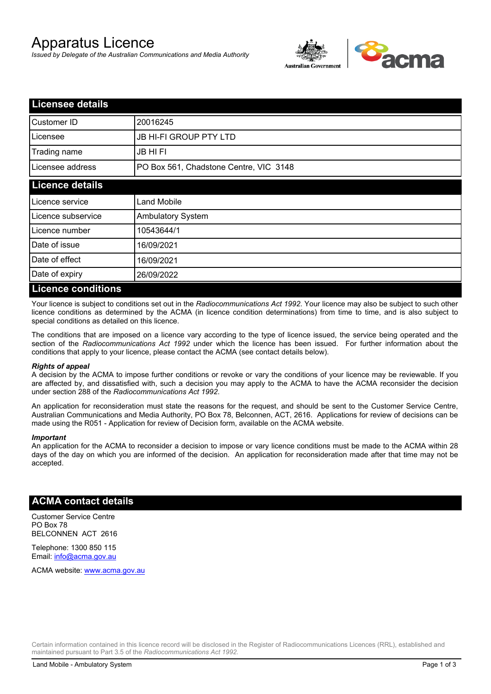# Apparatus Licence

*Issued by Delegate of the Australian Communications and Media Authority*



| <b>Licensee details</b>   |                                        |  |
|---------------------------|----------------------------------------|--|
| Customer ID               | 20016245                               |  |
| Licensee                  | <b>JB HI-FI GROUP PTY LTD</b>          |  |
| Trading name              | <b>JB HIFI</b>                         |  |
| Licensee address          | PO Box 561, Chadstone Centre, VIC 3148 |  |
| <b>Licence details</b>    |                                        |  |
| Licence service           | <b>Land Mobile</b>                     |  |
| Licence subservice        | <b>Ambulatory System</b>               |  |
| Licence number            | 10543644/1                             |  |
| Date of issue             | 16/09/2021                             |  |
| Date of effect            | 16/09/2021                             |  |
| Date of expiry            | 26/09/2022                             |  |
| <b>Licence conditions</b> |                                        |  |

Your licence is subject to conditions set out in the *Radiocommunications Act 1992*. Your licence may also be subject to such other licence conditions as determined by the ACMA (in licence condition determinations) from time to time, and is also subject to special conditions as detailed on this licence.

The conditions that are imposed on a licence vary according to the type of licence issued, the service being operated and the section of the *Radiocommunications Act 1992* under which the licence has been issued. For further information about the conditions that apply to your licence, please contact the ACMA (see contact details below).

#### *Rights of appeal*

A decision by the ACMA to impose further conditions or revoke or vary the conditions of your licence may be reviewable. If you are affected by, and dissatisfied with, such a decision you may apply to the ACMA to have the ACMA reconsider the decision under section 288 of the *Radiocommunications Act 1992*.

An application for reconsideration must state the reasons for the request, and should be sent to the Customer Service Centre, Australian Communications and Media Authority, PO Box 78, Belconnen, ACT, 2616. Applications for review of decisions can be made using the R051 - Application for review of Decision form, available on the ACMA website.

#### *Important*

An application for the ACMA to reconsider a decision to impose or vary licence conditions must be made to the ACMA within 28 days of the day on which you are informed of the decision. An application for reconsideration made after that time may not be accepted.

### **ACMA contact details**

Customer Service Centre PO Box 78 BELCONNEN ACT 2616

Telephone: 1300 850 115 Email: info@acma.gov.au

ACMA website: www.acma.gov.au

Certain information contained in this licence record will be disclosed in the Register of Radiocommunications Licences (RRL), established and maintained pursuant to Part 3.5 of the *Radiocommunications Act 1992.*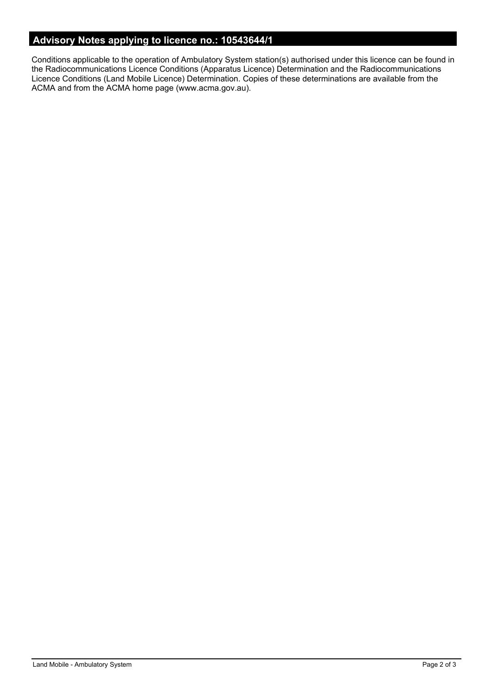# **Advisory Notes applying to licence no.: 10543644/1**

Conditions applicable to the operation of Ambulatory System station(s) authorised under this licence can be found in the Radiocommunications Licence Conditions (Apparatus Licence) Determination and the Radiocommunications Licence Conditions (Land Mobile Licence) Determination. Copies of these determinations are available from the ACMA and from the ACMA home page (www.acma.gov.au).